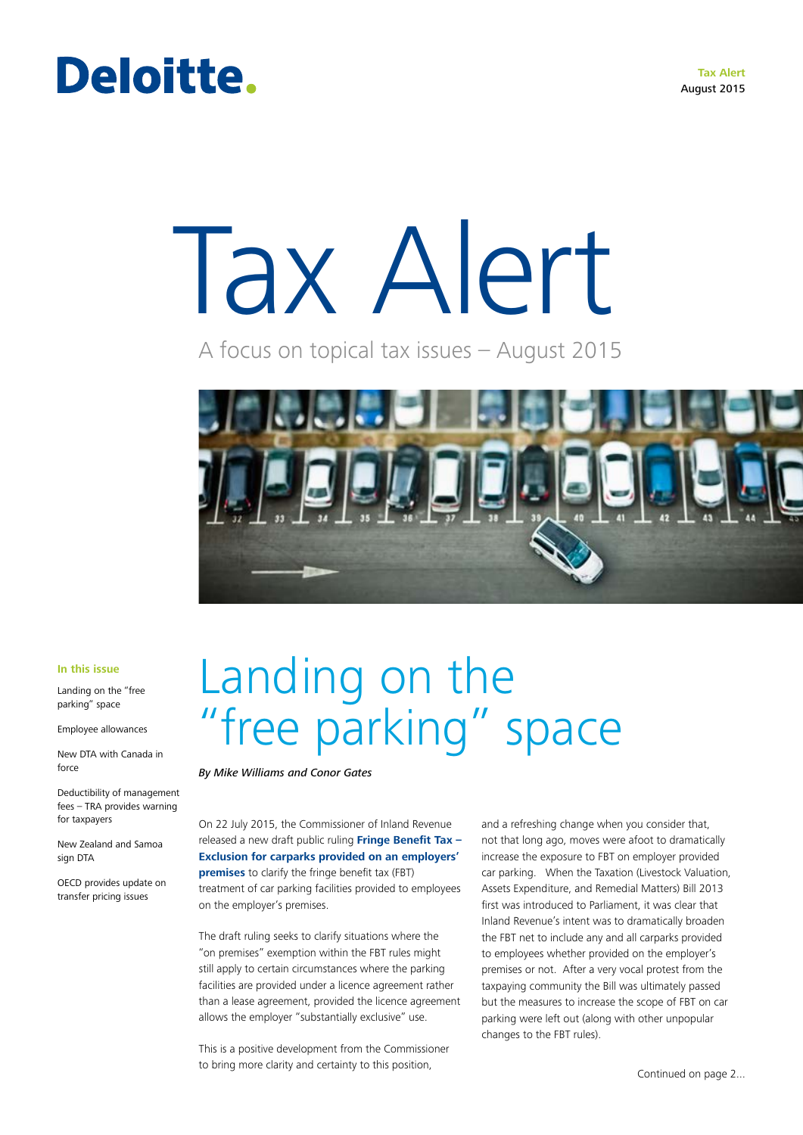**Tax Alert** August 2015

# Deloitte.

# Tax Alert

A focus on topical tax issues – August 2015



### **In this issue**

Landing on the "free parking" space

Employee allowances

New DTA with Canada in force

Deductibility of management fees – TRA provides warning for taxpayers

New Zealand and Samoa sign DTA

OECD provides update on transfer pricing issues

# Landing on the "free parking" space

### *By Mike Williams and Conor Gates*

On 22 July 2015, the Commissioner of Inland Revenue released a new draft public ruling **[Fringe Benefit Tax –](http://www.ird.govt.nz/public-consultation/)  [Exclusion for carparks provided on an employers'](http://www.ird.govt.nz/public-consultation/)  [premises](http://www.ird.govt.nz/public-consultation/)** to clarify the fringe benefit tax (FBT) treatment of car parking facilities provided to employees on the employer's premises.

The draft ruling seeks to clarify situations where the "on premises" exemption within the FBT rules might still apply to certain circumstances where the parking facilities are provided under a licence agreement rather than a lease agreement, provided the licence agreement allows the employer "substantially exclusive" use.

This is a positive development from the Commissioner to bring more clarity and certainty to this position,

and a refreshing change when you consider that, not that long ago, moves were afoot to dramatically increase the exposure to FBT on employer provided car parking. When the Taxation (Livestock Valuation, Assets Expenditure, and Remedial Matters) Bill 2013 first was introduced to Parliament, it was clear that Inland Revenue's intent was to dramatically broaden the FBT net to include any and all carparks provided to employees whether provided on the employer's premises or not. After a very vocal protest from the taxpaying community the Bill was ultimately passed but the measures to increase the scope of FBT on car parking were left out (along with other unpopular changes to the FBT rules).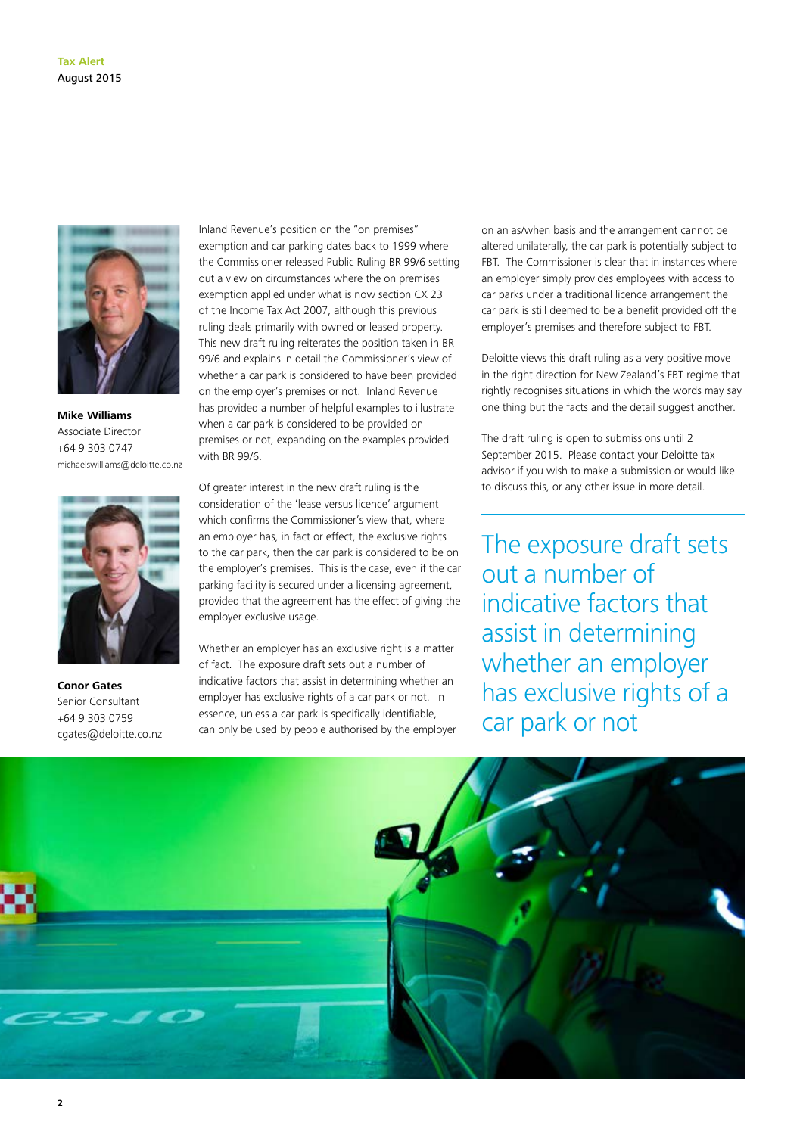

**Mike Williams** Associate Director +64 9 303 0747 michaelswilliams@deloitte.co.nz



**Conor Gates** Senior Consultant +64 9 303 0759 cgates@deloitte.co.nz

Inland Revenue's position on the "on premises" exemption and car parking dates back to 1999 where the Commissioner released Public Ruling BR 99/6 setting out a view on circumstances where the on premises exemption applied under what is now section CX 23 of the Income Tax Act 2007, although this previous ruling deals primarily with owned or leased property. This new draft ruling reiterates the position taken in BR 99/6 and explains in detail the Commissioner's view of whether a car park is considered to have been provided on the employer's premises or not. Inland Revenue has provided a number of helpful examples to illustrate when a car park is considered to be provided on premises or not, expanding on the examples provided with BR 99/6.

Of greater interest in the new draft ruling is the consideration of the 'lease versus licence' argument which confirms the Commissioner's view that, where an employer has, in fact or effect, the exclusive rights to the car park, then the car park is considered to be on the employer's premises. This is the case, even if the car parking facility is secured under a licensing agreement, provided that the agreement has the effect of giving the employer exclusive usage.

Whether an employer has an exclusive right is a matter of fact. The exposure draft sets out a number of indicative factors that assist in determining whether an employer has exclusive rights of a car park or not. In essence, unless a car park is specifically identifiable, can only be used by people authorised by the employer on an as/when basis and the arrangement cannot be altered unilaterally, the car park is potentially subject to FBT. The Commissioner is clear that in instances where an employer simply provides employees with access to car parks under a traditional licence arrangement the car park is still deemed to be a benefit provided off the employer's premises and therefore subject to FBT.

Deloitte views this draft ruling as a very positive move in the right direction for New Zealand's FBT regime that rightly recognises situations in which the words may say one thing but the facts and the detail suggest another.

The draft ruling is open to submissions until 2 September 2015. Please contact your Deloitte tax advisor if you wish to make a submission or would like to discuss this, or any other issue in more detail.

The exposure draft sets out a number of indicative factors that assist in determining whether an employer has exclusive rights of a car park or not

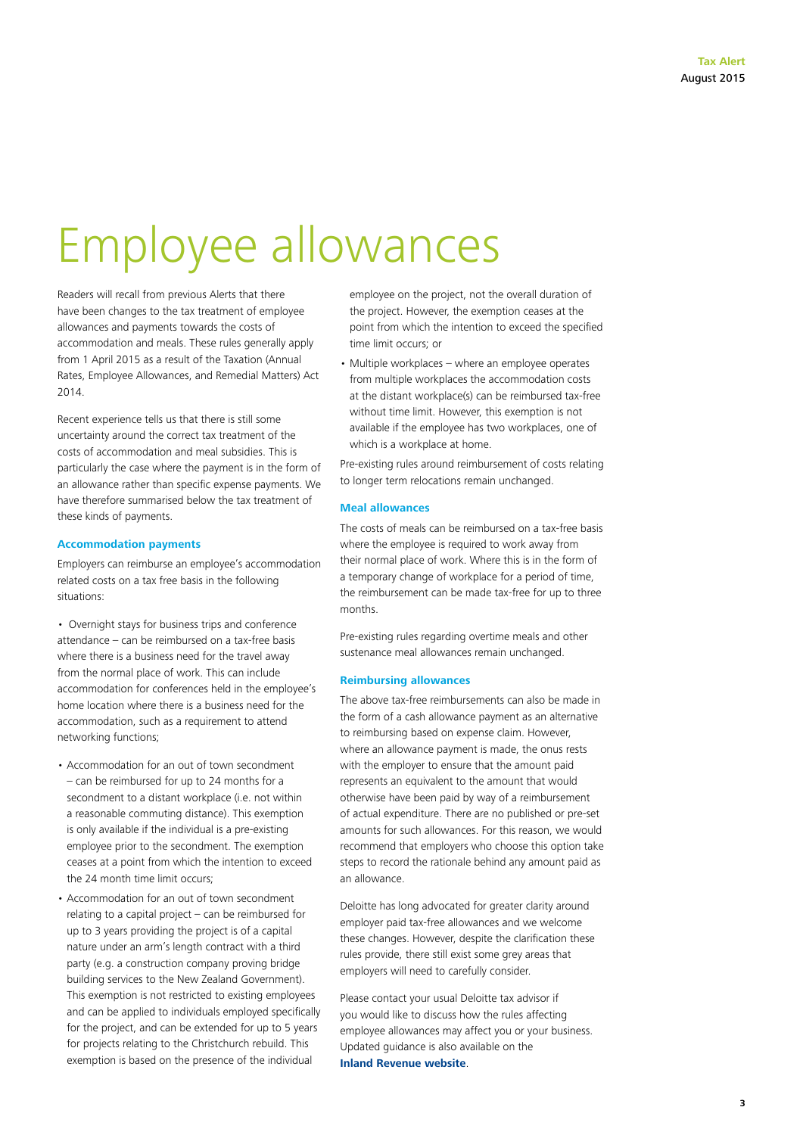# Employee allowances

Readers will recall from previous Alerts that there have been changes to the tax treatment of employee allowances and payments towards the costs of accommodation and meals. These rules generally apply from 1 April 2015 as a result of the Taxation (Annual Rates, Employee Allowances, and Remedial Matters) Act 2014.

Recent experience tells us that there is still some uncertainty around the correct tax treatment of the costs of accommodation and meal subsidies. This is particularly the case where the payment is in the form of an allowance rather than specific expense payments. We have therefore summarised below the tax treatment of these kinds of payments.

### **Accommodation payments**

Employers can reimburse an employee's accommodation related costs on a tax free basis in the following situations:

• Overnight stays for business trips and conference attendance – can be reimbursed on a tax-free basis where there is a business need for the travel away from the normal place of work. This can include accommodation for conferences held in the employee's home location where there is a business need for the accommodation, such as a requirement to attend networking functions;

- Accommodation for an out of town secondment – can be reimbursed for up to 24 months for a secondment to a distant workplace (i.e. not within a reasonable commuting distance). This exemption is only available if the individual is a pre-existing employee prior to the secondment. The exemption ceases at a point from which the intention to exceed the 24 month time limit occurs;
- Accommodation for an out of town secondment relating to a capital project – can be reimbursed for up to 3 years providing the project is of a capital nature under an arm's length contract with a third party (e.g. a construction company proving bridge building services to the New Zealand Government). This exemption is not restricted to existing employees and can be applied to individuals employed specifically for the project, and can be extended for up to 5 years for projects relating to the Christchurch rebuild. This exemption is based on the presence of the individual

employee on the project, not the overall duration of the project. However, the exemption ceases at the point from which the intention to exceed the specified time limit occurs; or

• Multiple workplaces – where an employee operates from multiple workplaces the accommodation costs at the distant workplace(s) can be reimbursed tax-free without time limit. However, this exemption is not available if the employee has two workplaces, one of which is a workplace at home.

Pre-existing rules around reimbursement of costs relating to longer term relocations remain unchanged.

# **Meal allowances**

The costs of meals can be reimbursed on a tax-free basis where the employee is required to work away from their normal place of work. Where this is in the form of a temporary change of workplace for a period of time, the reimbursement can be made tax-free for up to three months.

Pre-existing rules regarding overtime meals and other sustenance meal allowances remain unchanged.

### **Reimbursing allowances**

The above tax-free reimbursements can also be made in the form of a cash allowance payment as an alternative to reimbursing based on expense claim. However, where an allowance payment is made, the onus rests with the employer to ensure that the amount paid represents an equivalent to the amount that would otherwise have been paid by way of a reimbursement of actual expenditure. There are no published or pre-set amounts for such allowances. For this reason, we would recommend that employers who choose this option take steps to record the rationale behind any amount paid as an allowance.

Deloitte has long advocated for greater clarity around employer paid tax-free allowances and we welcome these changes. However, despite the clarification these rules provide, there still exist some grey areas that employers will need to carefully consider.

Please contact your usual Deloitte tax advisor if you would like to discuss how the rules affecting employee allowances may affect you or your business. Updated guidance is also available on the **[Inland Revenue website](http://www.ird.govt.nz/payroll-employers/make-deductions/staff-benefits/allowances/)**.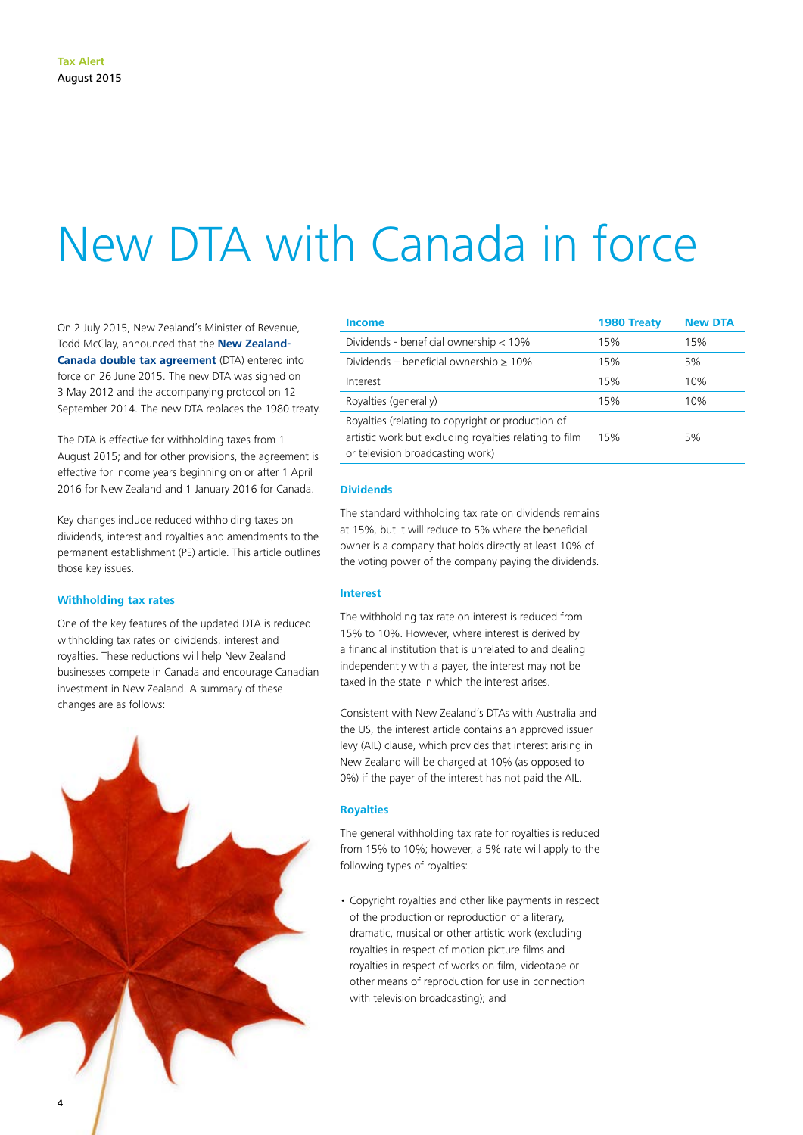# New DTA with Canada in force

On 2 July 2015, New Zealand's Minister of Revenue, Todd McClay, announced that the **[New Zealand-](http://taxpolicy.ird.govt.nz/sites/default/files/tax-treaties/2012-dta-nz-canada.pdfhttp://)[Canada double tax agreement](http://taxpolicy.ird.govt.nz/sites/default/files/tax-treaties/2012-dta-nz-canada.pdfhttp://)** (DTA) entered into force on 26 June 2015. The new DTA was signed on 3 May 2012 and the accompanying protocol on 12 September 2014. The new DTA replaces the 1980 treaty.

The DTA is effective for withholding taxes from 1 August 2015; and for other provisions, the agreement is effective for income years beginning on or after 1 April 2016 for New Zealand and 1 January 2016 for Canada.

Key changes include reduced withholding taxes on dividends, interest and royalties and amendments to the permanent establishment (PE) article. This article outlines those key issues.

### **Withholding tax rates**

One of the key features of the updated DTA is reduced withholding tax rates on dividends, interest and royalties. These reductions will help New Zealand businesses compete in Canada and encourage Canadian investment in New Zealand. A summary of these changes are as follows:



| Income                                                                                                                                          | 1980 Treaty | <b>New DTA</b> |
|-------------------------------------------------------------------------------------------------------------------------------------------------|-------------|----------------|
| Dividends - beneficial ownership $< 10\%$                                                                                                       | 15%         | 15%            |
| Dividends – beneficial ownership $\geq 10\%$                                                                                                    | 15%         | 5%             |
| Interest                                                                                                                                        | 15%         | 10%            |
| Royalties (generally)                                                                                                                           | 15%         | 10%            |
| Royalties (relating to copyright or production of<br>artistic work but excluding royalties relating to film<br>or television broadcasting work) | 15%         | 5%             |

## **Dividends**

The standard withholding tax rate on dividends remains at 15%, but it will reduce to 5% where the beneficial owner is a company that holds directly at least 10% of the voting power of the company paying the dividends.

### **Interest**

The withholding tax rate on interest is reduced from 15% to 10%. However, where interest is derived by a financial institution that is unrelated to and dealing independently with a payer, the interest may not be taxed in the state in which the interest arises.

Consistent with New Zealand's DTAs with Australia and the US, the interest article contains an approved issuer levy (AIL) clause, which provides that interest arising in New Zealand will be charged at 10% (as opposed to 0%) if the payer of the interest has not paid the AIL.

### **Royalties**

The general withholding tax rate for royalties is reduced from 15% to 10%; however, a 5% rate will apply to the following types of royalties:

• Copyright royalties and other like payments in respect of the production or reproduction of a literary, dramatic, musical or other artistic work (excluding royalties in respect of motion picture films and royalties in respect of works on film, videotape or other means of reproduction for use in connection with television broadcasting); and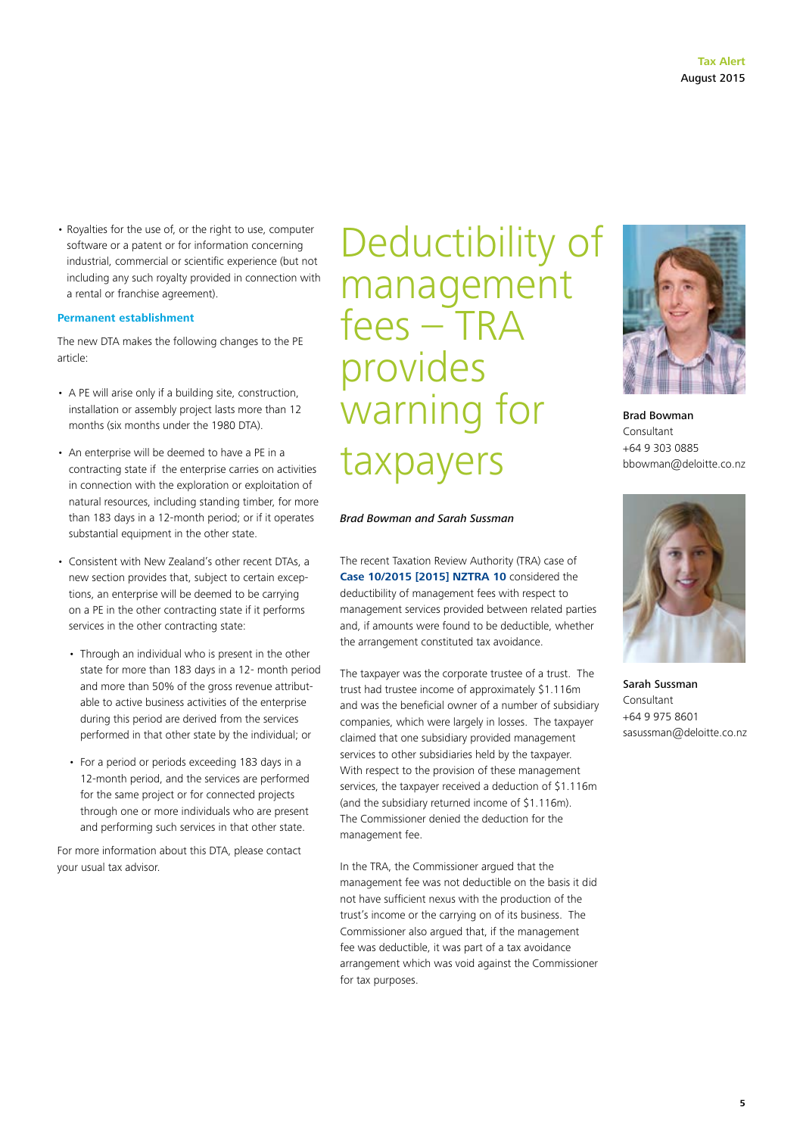• Royalties for the use of, or the right to use, computer software or a patent or for information concerning industrial, commercial or scientific experience (but not including any such royalty provided in connection with a rental or franchise agreement).

### **Permanent establishment**

The new DTA makes the following changes to the PE article:

- A PE will arise only if a building site, construction, installation or assembly project lasts more than 12 months (six months under the 1980 DTA).
- An enterprise will be deemed to have a PE in a contracting state if the enterprise carries on activities in connection with the exploration or exploitation of natural resources, including standing timber, for more than 183 days in a 12-month period; or if it operates substantial equipment in the other state.
- Consistent with New Zealand's other recent DTAs, a new section provides that, subject to certain exceptions, an enterprise will be deemed to be carrying on a PE in the other contracting state if it performs services in the other contracting state:
	- Through an individual who is present in the other state for more than 183 days in a 12- month period and more than 50% of the gross revenue attributable to active business activities of the enterprise during this period are derived from the services performed in that other state by the individual; or
	- For a period or periods exceeding 183 days in a 12-month period, and the services are performed for the same project or for connected projects through one or more individuals who are present and performing such services in that other state.

For more information about this DTA, please contact your usual tax advisor.

Deductibility of management fees – TRA provides warning for taxpayers

## *Brad Bowman and Sarah Sussman*

The recent Taxation Review Authority (TRA) case of **[Case 10/2015 \[2015\] NZTRA 10](http://www.nzlii.org/nz/cases/NZTRA/2015/10.html)** considered the deductibility of management fees with respect to management services provided between related parties and, if amounts were found to be deductible, whether the arrangement constituted tax avoidance.

The taxpayer was the corporate trustee of a trust. The trust had trustee income of approximately \$1.116m and was the beneficial owner of a number of subsidiary companies, which were largely in losses. The taxpayer claimed that one subsidiary provided management services to other subsidiaries held by the taxpayer. With respect to the provision of these management services, the taxpayer received a deduction of \$1.116m (and the subsidiary returned income of \$1.116m). The Commissioner denied the deduction for the management fee.

In the TRA, the Commissioner argued that the management fee was not deductible on the basis it did not have sufficient nexus with the production of the trust's income or the carrying on of its business. The Commissioner also argued that, if the management fee was deductible, it was part of a tax avoidance arrangement which was void against the Commissioner for tax purposes.



Brad Bowman Consultant +64 9 303 0885 bbowman@deloitte.co.nz



Sarah Sussman Consultant +64 9 975 8601 sasussman@deloitte.co.nz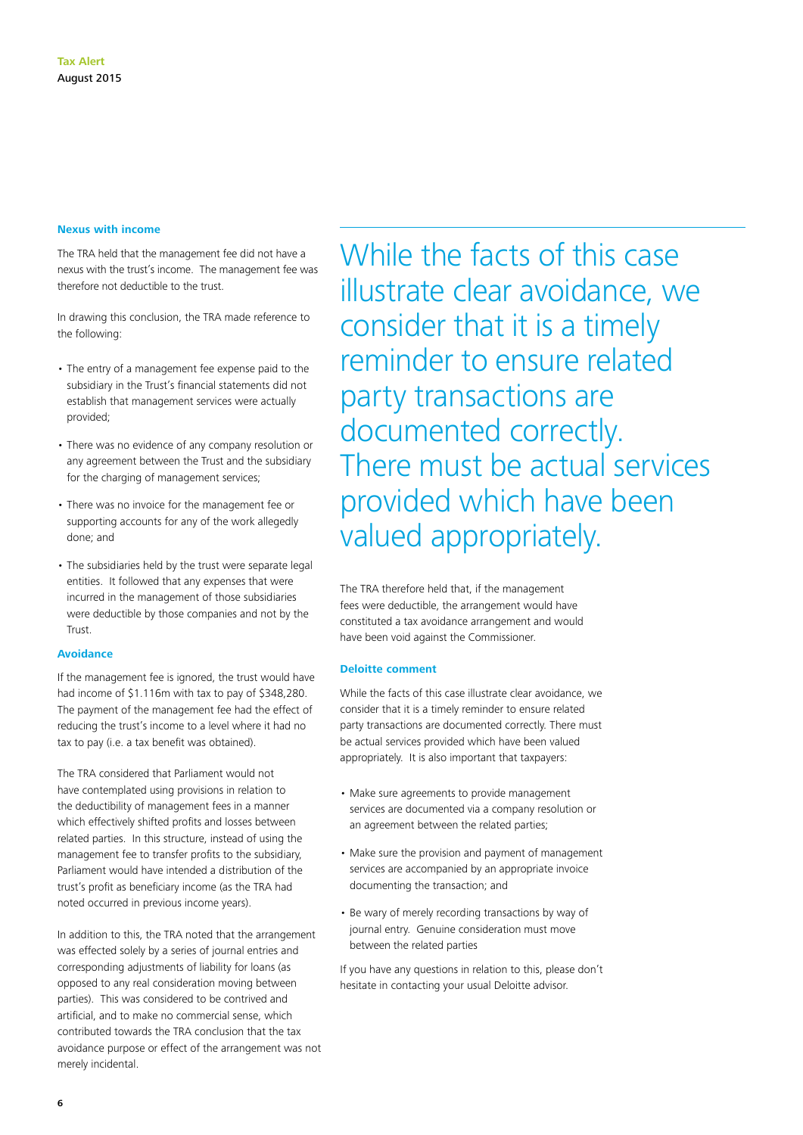## **Nexus with income**

The TRA held that the management fee did not have a nexus with the trust's income. The management fee was therefore not deductible to the trust.

In drawing this conclusion, the TRA made reference to the following:

- The entry of a management fee expense paid to the subsidiary in the Trust's financial statements did not establish that management services were actually provided;
- There was no evidence of any company resolution or any agreement between the Trust and the subsidiary for the charging of management services;
- There was no invoice for the management fee or supporting accounts for any of the work allegedly done; and
- The subsidiaries held by the trust were separate legal entities. It followed that any expenses that were incurred in the management of those subsidiaries were deductible by those companies and not by the Trust.

## **Avoidance**

If the management fee is ignored, the trust would have had income of \$1.116m with tax to pay of \$348,280. The payment of the management fee had the effect of reducing the trust's income to a level where it had no tax to pay (i.e. a tax benefit was obtained).

The TRA considered that Parliament would not have contemplated using provisions in relation to the deductibility of management fees in a manner which effectively shifted profits and losses between related parties. In this structure, instead of using the management fee to transfer profits to the subsidiary, Parliament would have intended a distribution of the trust's profit as beneficiary income (as the TRA had noted occurred in previous income years).

In addition to this, the TRA noted that the arrangement was effected solely by a series of journal entries and corresponding adjustments of liability for loans (as opposed to any real consideration moving between parties). This was considered to be contrived and artificial, and to make no commercial sense, which contributed towards the TRA conclusion that the tax avoidance purpose or effect of the arrangement was not merely incidental.

While the facts of this case illustrate clear avoidance, we consider that it is a timely reminder to ensure related party transactions are documented correctly. There must be actual services provided which have been valued appropriately.

The TRA therefore held that, if the management fees were deductible, the arrangement would have constituted a tax avoidance arrangement and would have been void against the Commissioner.

## **Deloitte comment**

While the facts of this case illustrate clear avoidance, we consider that it is a timely reminder to ensure related party transactions are documented correctly. There must be actual services provided which have been valued appropriately. It is also important that taxpayers:

- Make sure agreements to provide management services are documented via a company resolution or an agreement between the related parties;
- Make sure the provision and payment of management services are accompanied by an appropriate invoice documenting the transaction; and
- Be wary of merely recording transactions by way of journal entry. Genuine consideration must move between the related parties

If you have any questions in relation to this, please don't hesitate in contacting your usual Deloitte advisor.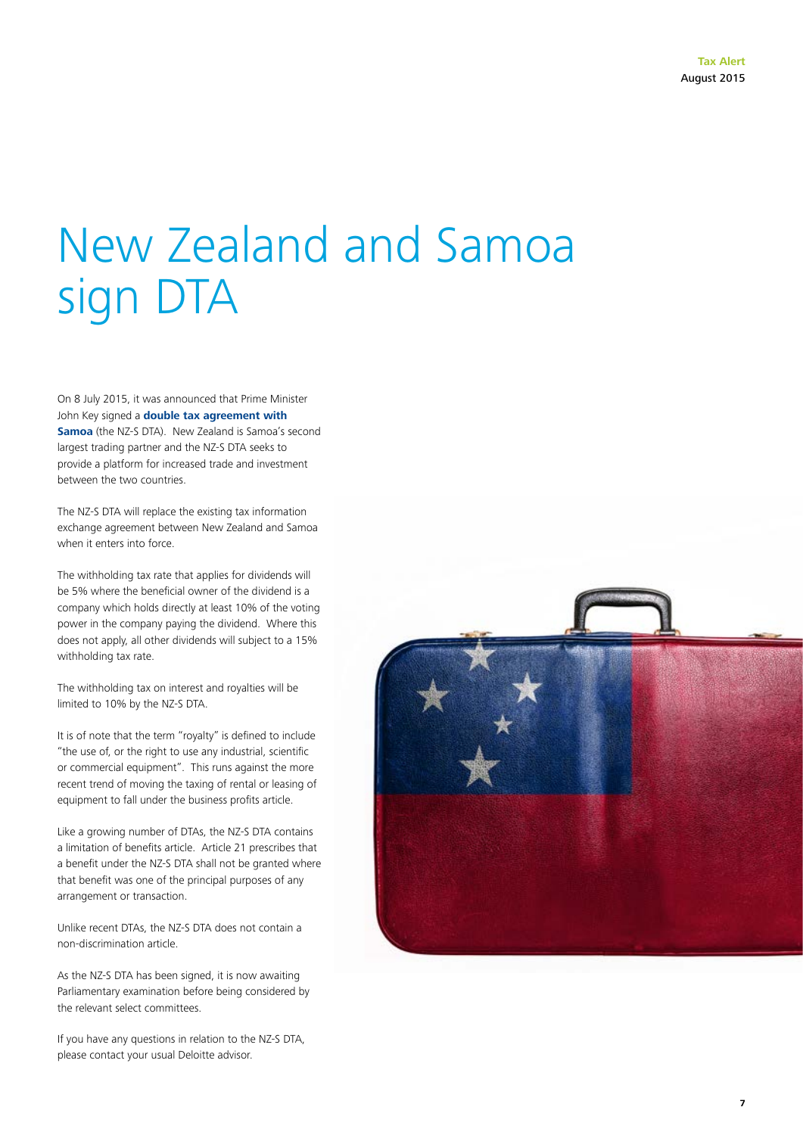# New Zealand and Samoa sign DTA

On 8 July 2015, it was announced that Prime Minister John Key signed a **[double tax agreement with](http://taxpolicy.ird.govt.nz/sites/default/files/tax-treaties/2015-dta-nz-samoa.pdf)  [Samoa](http://taxpolicy.ird.govt.nz/sites/default/files/tax-treaties/2015-dta-nz-samoa.pdf)** (the NZ-S DTA). New Zealand is Samoa's second largest trading partner and the NZ-S DTA seeks to provide a platform for increased trade and investment between the two countries.

The NZ-S DTA will replace the existing tax information exchange agreement between New Zealand and Samoa when it enters into force.

The withholding tax rate that applies for dividends will be 5% where the beneficial owner of the dividend is a company which holds directly at least 10% of the voting power in the company paying the dividend. Where this does not apply, all other dividends will subject to a 15% withholding tax rate.

The withholding tax on interest and royalties will be limited to 10% by the NZ-S DTA.

It is of note that the term "royalty" is defined to include "the use of, or the right to use any industrial, scientific or commercial equipment". This runs against the more recent trend of moving the taxing of rental or leasing of equipment to fall under the business profits article.

Like a growing number of DTAs, the NZ-S DTA contains a limitation of benefits article. Article 21 prescribes that a benefit under the NZ-S DTA shall not be granted where that benefit was one of the principal purposes of any arrangement or transaction.

Unlike recent DTAs, the NZ-S DTA does not contain a non-discrimination article.

As the NZ-S DTA has been signed, it is now awaiting Parliamentary examination before being considered by the relevant select committees.

If you have any questions in relation to the NZ-S DTA, please contact your usual Deloitte advisor.